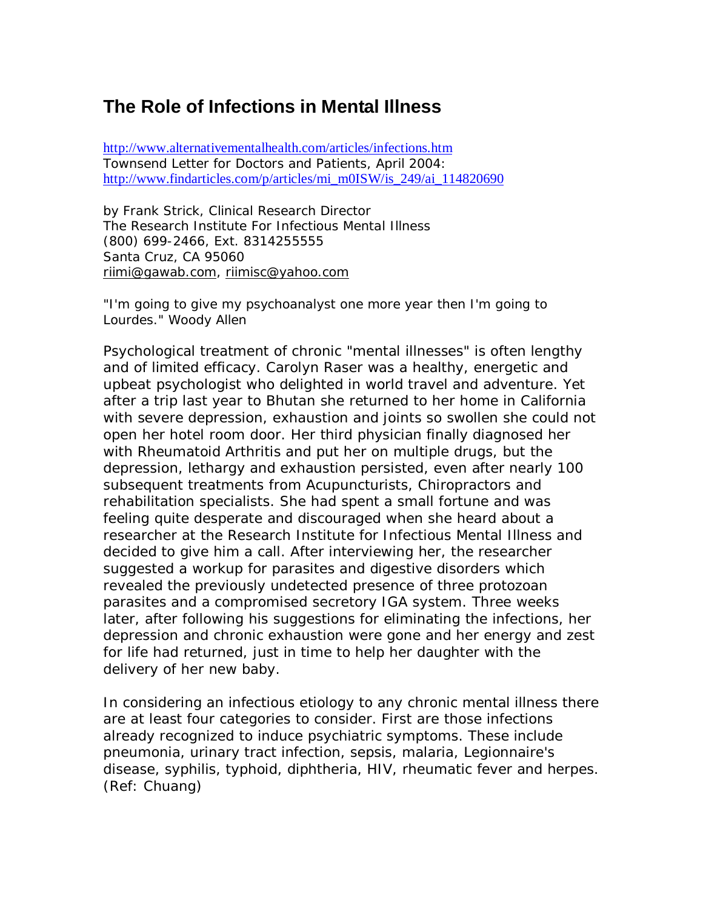## **The Role of Infections in Mental Illness**

http://www.alternativementalhealth.com/articles/infections.htm Townsend Letter for Doctors and Patients, April 2004: http://www.findarticles.com/p/articles/mi\_m0ISW/is\_249/ai\_114820690

by Frank Strick, Clinical Research Director The Research Institute For Infectious Mental Illness (800) 699-2466, Ext. 8314255555 Santa Cruz, CA 95060 riimi@gawab.com, riimisc@yahoo.com

## "*I'm going to give my psychoanalyst one more year then I'm going to Lourdes.*" Woody Allen

Psychological treatment of chronic "mental illnesses" is often lengthy and of limited efficacy. Carolyn Raser was a healthy, energetic and upbeat psychologist who delighted in world travel and adventure. Yet after a trip last year to Bhutan she returned to her home in California with severe depression, exhaustion and joints so swollen she could not open her hotel room door. Her third physician finally diagnosed her with Rheumatoid Arthritis and put her on multiple drugs, but the depression, lethargy and exhaustion persisted, even after nearly 100 subsequent treatments from Acupuncturists, Chiropractors and rehabilitation specialists. She had spent a small fortune and was feeling quite desperate and discouraged when she heard about a researcher at the Research Institute for Infectious Mental Illness and decided to give him a call. After interviewing her, the researcher suggested a workup for parasites and digestive disorders which revealed the previously undetected presence of three protozoan parasites and a compromised secretory IGA system. Three weeks later, after following his suggestions for eliminating the infections, her depression and chronic exhaustion were gone and her energy and zest for life had returned, just in time to help her daughter with the delivery of her new baby.

In considering an infectious etiology to any chronic mental illness there are at least four categories to consider. First are those infections already recognized to induce psychiatric symptoms. These include pneumonia, urinary tract infection, sepsis, malaria, Legionnaire's disease, syphilis, typhoid, diphtheria, HIV, rheumatic fever and herpes. (Ref: Chuang)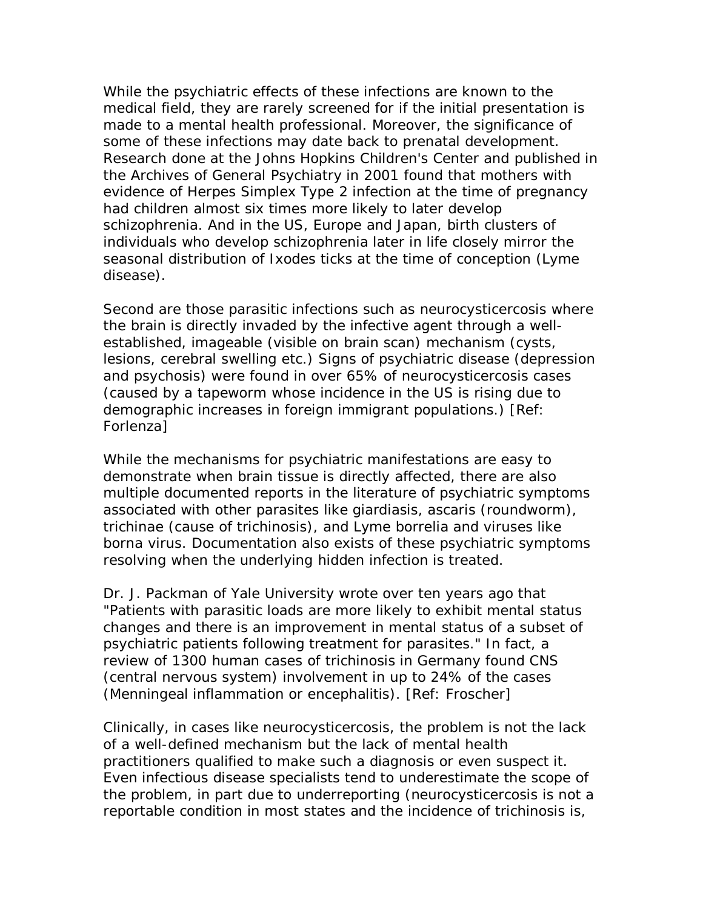While the psychiatric effects of these infections are known to the medical field, they are rarely screened for if the initial presentation is made to a mental health professional. Moreover, the significance of some of these infections may date back to prenatal development. Research done at the Johns Hopkins Children's Center and published in the Archives of General Psychiatry in 2001 found that mothers with evidence of Herpes Simplex Type 2 infection at the time of pregnancy had children almost six times more likely to later develop schizophrenia. And in the US, Europe and Japan, birth clusters of individuals who develop schizophrenia later in life closely mirror the seasonal distribution of Ixodes ticks at the time of conception (Lyme disease).

Second are those parasitic infections such as neurocysticercosis where the brain is directly invaded by the infective agent through a wellestablished, imageable (visible on brain scan) mechanism (cysts, lesions, cerebral swelling etc.) Signs of psychiatric disease (depression and psychosis) were found in over 65% of neurocysticercosis cases (caused by a tapeworm whose incidence in the US is rising due to demographic increases in foreign immigrant populations.) [Ref: Forlenza]

While the mechanisms for psychiatric manifestations are easy to demonstrate when brain tissue is directly affected, there are also multiple documented reports in the literature of psychiatric symptoms associated with other parasites like giardiasis, ascaris (roundworm), trichinae (cause of trichinosis), and Lyme borrelia and viruses like borna virus. Documentation also exists of these psychiatric symptoms resolving when the underlying hidden infection is treated.

Dr. J. Packman of Yale University wrote over ten years ago that "Patients with parasitic loads are more likely to exhibit mental status changes and there is an improvement in mental status of a subset of psychiatric patients following treatment for parasites." In fact, a review of 1300 human cases of trichinosis in Germany found CNS (central nervous system) involvement in up to 24% of the cases (Menningeal inflammation or encephalitis). [Ref: Froscher]

Clinically, in cases like neurocysticercosis, the problem is not the lack of a well-defined mechanism but the lack of mental health practitioners qualified to make such a diagnosis or even suspect it. Even infectious disease specialists tend to underestimate the scope of the problem, in part due to underreporting (neurocysticercosis is not a reportable condition in most states and the incidence of trichinosis is,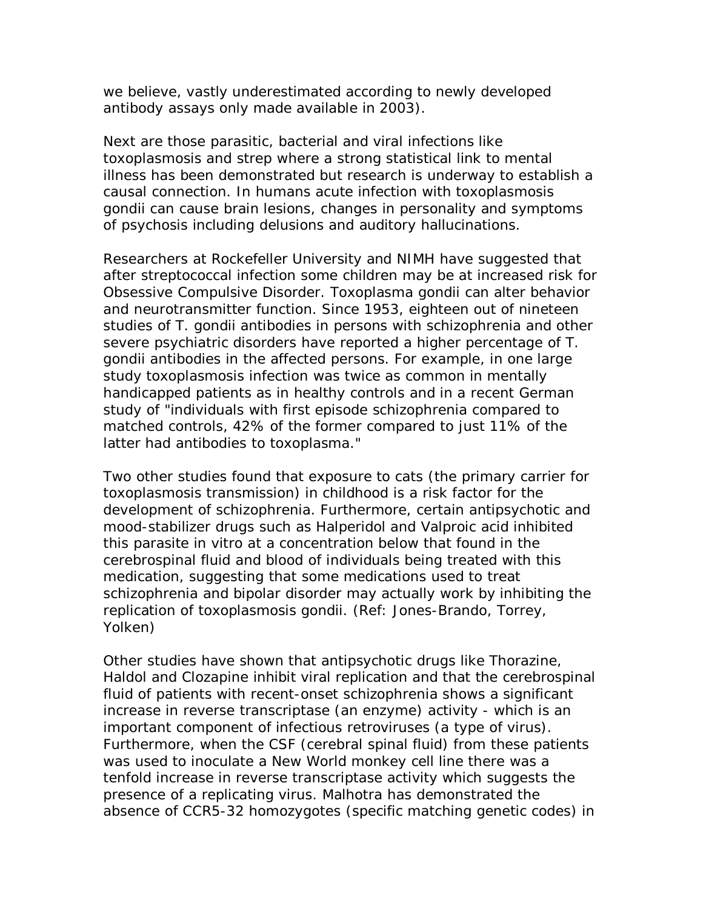we believe, vastly underestimated according to newly developed antibody assays only made available in 2003).

Next are those parasitic, bacterial and viral infections like toxoplasmosis and strep where a strong statistical link to mental illness has been demonstrated but research is underway to establish a causal connection. In humans acute infection with toxoplasmosis gondii can cause brain lesions, changes in personality and symptoms of psychosis including delusions and auditory hallucinations.

Researchers at Rockefeller University and NIMH have suggested that after streptococcal infection some children may be at increased risk for Obsessive Compulsive Disorder. Toxoplasma gondii can alter behavior and neurotransmitter function. Since 1953, eighteen out of nineteen studies of T. gondii antibodies in persons with schizophrenia and other severe psychiatric disorders have reported a higher percentage of T. gondii antibodies in the affected persons. For example, in one large study toxoplasmosis infection was twice as common in mentally handicapped patients as in healthy controls and in a recent German study of "individuals with first episode schizophrenia compared to matched controls, 42% of the former compared to just 11% of the latter had antibodies to toxoplasma."

Two other studies found that exposure to cats (the primary carrier for toxoplasmosis transmission) in childhood is a risk factor for the development of schizophrenia. Furthermore, certain antipsychotic and mood-stabilizer drugs such as Halperidol and Valproic acid inhibited this parasite in vitro at a concentration below that found in the cerebrospinal fluid and blood of individuals being treated with this medication, suggesting that some medications used to treat schizophrenia and bipolar disorder may actually work by inhibiting the replication of toxoplasmosis gondii. (Ref: Jones-Brando, Torrey, Yolken)

Other studies have shown that antipsychotic drugs like Thorazine, Haldol and Clozapine inhibit viral replication and that the cerebrospinal fluid of patients with recent-onset schizophrenia shows a significant increase in reverse transcriptase (an enzyme) activity - which is an important component of infectious retroviruses (a type of virus). Furthermore, when the CSF (cerebral spinal fluid) from these patients was used to inoculate a New World monkey cell line there was a tenfold increase in reverse transcriptase activity which suggests the presence of a replicating virus. Malhotra has demonstrated the absence of CCR5-32 homozygotes (specific matching genetic codes) in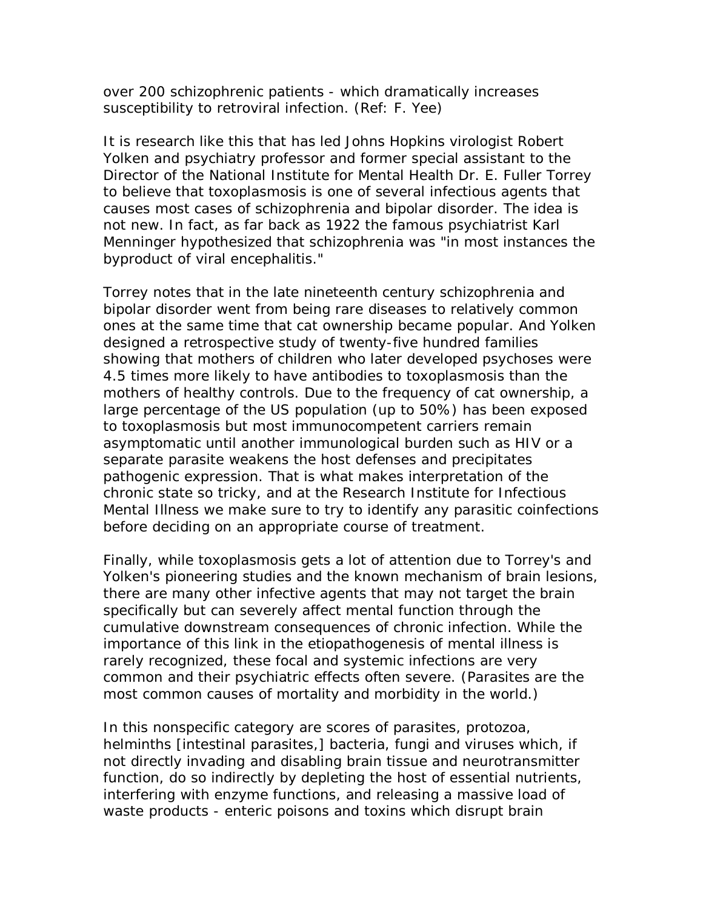over 200 schizophrenic patients - which dramatically increases susceptibility to retroviral infection. (Ref: F. Yee)

It is research like this that has led Johns Hopkins virologist Robert Yolken and psychiatry professor and former special assistant to the Director of the National Institute for Mental Health Dr. E. Fuller Torrey to believe that toxoplasmosis is one of several infectious agents that causes most cases of schizophrenia and bipolar disorder. The idea is not new. In fact, as far back as 1922 the famous psychiatrist Karl Menninger hypothesized that schizophrenia was "in most instances the byproduct of viral encephalitis."

Torrey notes that in the late nineteenth century schizophrenia and bipolar disorder went from being rare diseases to relatively common ones at the same time that cat ownership became popular. And Yolken designed a retrospective study of twenty-five hundred families showing that mothers of children who later developed psychoses were 4.5 times more likely to have antibodies to toxoplasmosis than the mothers of healthy controls. Due to the frequency of cat ownership, a large percentage of the US population (up to 50%) has been exposed to toxoplasmosis but most immunocompetent carriers remain asymptomatic until another immunological burden such as HIV or a separate parasite weakens the host defenses and precipitates pathogenic expression. That is what makes interpretation of the chronic state so tricky, and at the Research Institute for Infectious Mental Illness we make sure to try to identify any parasitic coinfections before deciding on an appropriate course of treatment.

Finally, while toxoplasmosis gets a lot of attention due to Torrey's and Yolken's pioneering studies and the known mechanism of brain lesions, there are many other infective agents that may not target the brain specifically but can severely affect mental function through the cumulative downstream consequences of chronic infection. While the importance of this link in the etiopathogenesis of mental illness is rarely recognized, these focal and systemic infections are very common and their psychiatric effects often severe. (Parasites are the most common causes of mortality and morbidity in the world.)

In this nonspecific category are scores of parasites, protozoa, helminths [intestinal parasites,] bacteria, fungi and viruses which, if not directly invading and disabling brain tissue and neurotransmitter function, do so indirectly by depleting the host of essential nutrients, interfering with enzyme functions, and releasing a massive load of waste products - enteric poisons and toxins which disrupt brain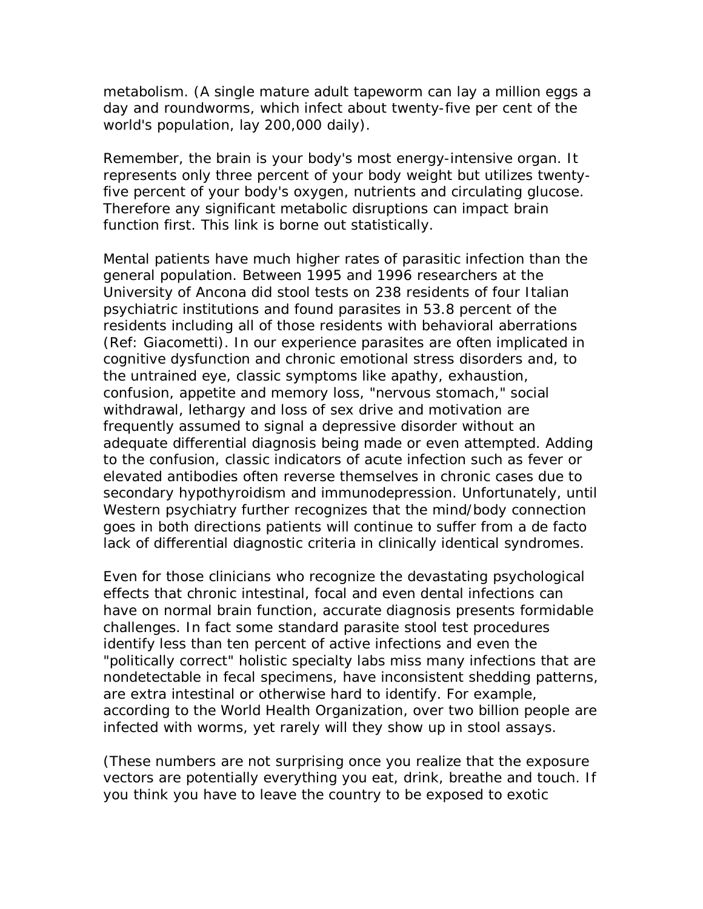metabolism. (A single mature adult tapeworm can lay a million eggs a day and roundworms, which infect about twenty-five per cent of the world's population, lay 200,000 daily).

Remember, the brain is your body's most energy-intensive organ. It represents only three percent of your body weight but utilizes twentyfive percent of your body's oxygen, nutrients and circulating glucose. Therefore any significant metabolic disruptions can impact brain function first. This link is borne out statistically.

Mental patients have much higher rates of parasitic infection than the general population. Between 1995 and 1996 researchers at the University of Ancona did stool tests on 238 residents of four Italian psychiatric institutions and found parasites in 53.8 percent of the residents including all of those residents with behavioral aberrations (Ref: Giacometti). In our experience parasites are often implicated in cognitive dysfunction and chronic emotional stress disorders and, to the untrained eye, classic symptoms like apathy, exhaustion, confusion, appetite and memory loss, "nervous stomach," social withdrawal, lethargy and loss of sex drive and motivation are frequently assumed to signal a depressive disorder without an adequate differential diagnosis being made or even attempted. Adding to the confusion, classic indicators of acute infection such as fever or elevated antibodies often reverse themselves in chronic cases due to secondary hypothyroidism and immunodepression. Unfortunately, until Western psychiatry further recognizes that the mind/body connection goes in both directions patients will continue to suffer from a de facto lack of differential diagnostic criteria in clinically identical syndromes.

Even for those clinicians who recognize the devastating psychological effects that chronic intestinal, focal and even dental infections can have on normal brain function, accurate diagnosis presents formidable challenges. In fact some standard parasite stool test procedures identify less than ten percent of active infections and even the "politically correct" holistic specialty labs miss many infections that are nondetectable in fecal specimens, have inconsistent shedding patterns, are extra intestinal or otherwise hard to identify. For example, according to the World Health Organization, over two billion people are infected with worms, yet rarely will they show up in stool assays.

(These numbers are not surprising once you realize that the exposure vectors are potentially everything you eat, drink, breathe and touch. If you think you have to leave the country to be exposed to exotic